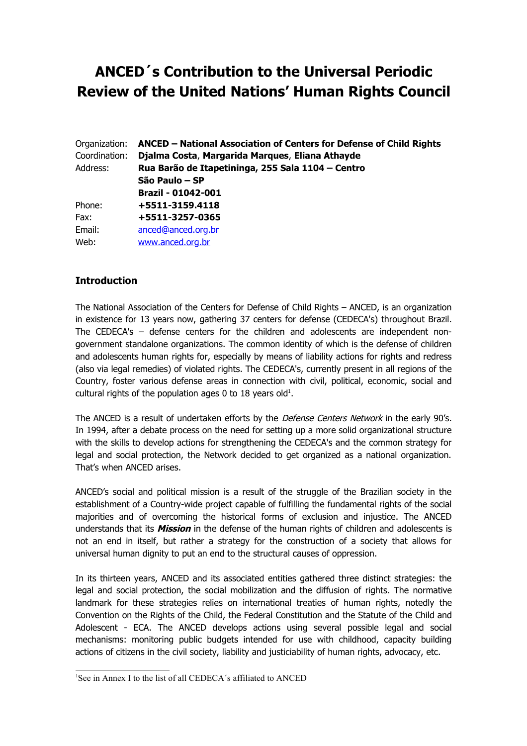# **ANCED´s Contribution to the Universal Periodic Review of the United Nations' Human Rights Council**

| Organization: | ANCED - National Association of Centers for Defense of Child Rights |  |  |
|---------------|---------------------------------------------------------------------|--|--|
| Coordination: | Djalma Costa, Margarida Marques, Eliana Athayde                     |  |  |
| Address:      | Rua Barão de Itapetininga, 255 Sala 1104 - Centro                   |  |  |
|               | São Paulo – SP                                                      |  |  |
|               | <b>Brazil - 01042-001</b>                                           |  |  |
| Phone:        | +5511-3159.4118                                                     |  |  |
| Fax:          | +5511-3257-0365                                                     |  |  |
| Email:        | anced@anced.org.br                                                  |  |  |
| Web:          | www.anced.org.br                                                    |  |  |

## **Introduction**

The National Association of the Centers for Defense of Child Rights – ANCED, is an organization in existence for 13 years now, gathering 37 centers for defense (CEDECA's) throughout Brazil. The CEDECA's – defense centers for the children and adolescents are independent nongovernment standalone organizations. The common identity of which is the defense of children and adolescents human rights for, especially by means of liability actions for rights and redress (also via legal remedies) of violated rights. The CEDECA's, currently present in all regions of the Country, foster various defense areas in connection with civil, political, economic, social and cultural rights of the population ages 0 to [1](#page-0-0)8 years old $^1$ .

The ANCED is a result of undertaken efforts by the *Defense Centers Network* in the early 90's. In 1994, after a debate process on the need for setting up a more solid organizational structure with the skills to develop actions for strengthening the CEDECA's and the common strategy for legal and social protection, the Network decided to get organized as a national organization. That's when ANCED arises.

ANCED's social and political mission is a result of the struggle of the Brazilian society in the establishment of a Country-wide project capable of fulfilling the fundamental rights of the social majorities and of overcoming the historical forms of exclusion and injustice. The ANCED understands that its **Mission** in the defense of the human rights of children and adolescents is not an end in itself, but rather a strategy for the construction of a society that allows for universal human dignity to put an end to the structural causes of oppression.

In its thirteen years, ANCED and its associated entities gathered three distinct strategies: the legal and social protection, the social mobilization and the diffusion of rights. The normative landmark for these strategies relies on international treaties of human rights, notedly the Convention on the Rights of the Child, the Federal Constitution and the Statute of the Child and Adolescent - ECA. The ANCED develops actions using several possible legal and social mechanisms: monitoring public budgets intended for use with childhood, capacity building actions of citizens in the civil society, liability and justiciability of human rights, advocacy, etc.

<span id="page-0-0"></span><sup>&</sup>lt;sup>1</sup>See in Annex I to the list of all CEDECA's affiliated to ANCED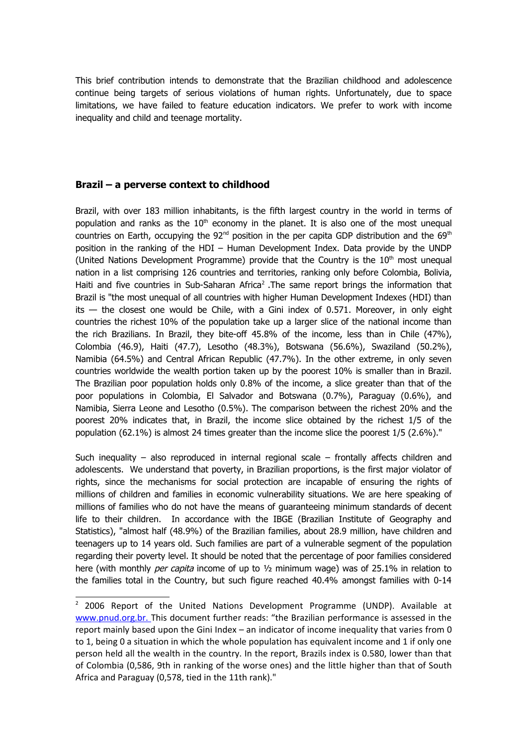This brief contribution intends to demonstrate that the Brazilian childhood and adolescence continue being targets of serious violations of human rights. Unfortunately, due to space limitations, we have failed to feature education indicators. We prefer to work with income inequality and child and teenage mortality.

## **Brazil – a perverse context to childhood**

Brazil, with over 183 million inhabitants, is the fifth largest country in the world in terms of population and ranks as the  $10<sup>th</sup>$  economy in the planet. It is also one of the most unequal countries on Earth, occupying the  $92<sup>nd</sup>$  position in the per capita GDP distribution and the  $69<sup>th</sup>$ position in the ranking of the HDI – Human Development Index. Data provide by the UNDP (United Nations Development Programme) provide that the Country is the  $10<sup>th</sup>$  most unequal nation in a list comprising 126 countries and territories, ranking only before Colombia, Bolivia, Haiti and five countries in Sub-Saharan Africa<sup>[2](#page-1-0)</sup>. The same report brings the information that Brazil is "the most unequal of all countries with higher Human Development Indexes (HDI) than its — the closest one would be Chile, with a Gini index of 0.571. Moreover, in only eight countries the richest 10% of the population take up a larger slice of the national income than the rich Brazilians. In Brazil, they bite-off 45.8% of the income, less than in Chile (47%), Colombia (46.9), Haiti (47.7), Lesotho (48.3%), Botswana (56.6%), Swaziland (50.2%), Namibia (64.5%) and Central African Republic (47.7%). In the other extreme, in only seven countries worldwide the wealth portion taken up by the poorest 10% is smaller than in Brazil. The Brazilian poor population holds only 0.8% of the income, a slice greater than that of the poor populations in Colombia, El Salvador and Botswana (0.7%), Paraguay (0.6%), and Namibia, Sierra Leone and Lesotho (0.5%). The comparison between the richest 20% and the poorest 20% indicates that, in Brazil, the income slice obtained by the richest 1/5 of the population (62.1%) is almost 24 times greater than the income slice the poorest 1/5 (2.6%)."

Such inequality – also reproduced in internal regional scale – frontally affects children and adolescents. We understand that poverty, in Brazilian proportions, is the first major violator of rights, since the mechanisms for social protection are incapable of ensuring the rights of millions of children and families in economic vulnerability situations. We are here speaking of millions of families who do not have the means of guaranteeing minimum standards of decent life to their children. In accordance with the IBGE (Brazilian Institute of Geography and Statistics), "almost half (48.9%) of the Brazilian families, about 28.9 million, have children and teenagers up to 14 years old. Such families are part of a vulnerable segment of the population regarding their poverty level. It should be noted that the percentage of poor families considered here (with monthly *per capita* income of up to  $\frac{1}{2}$  minimum wage) was of 25.1% in relation to the families total in the Country, but such figure reached 40.4% amongst families with 0-14

<span id="page-1-0"></span><sup>&</sup>lt;sup>2</sup> 2006 Report of the United Nations Development Programme (UNDP). Available at [www.pnud.org.br. T](http://www.pnud.org.br/)his document further reads: "the Brazilian performance is assessed in the report mainly based upon the Gini Index – an indicator of income inequality that varies from 0 to 1, being 0 a situation in which the whole population has equivalent income and 1 if only one person held all the wealth in the country. In the report, Brazils index is 0.580, lower than that of Colombia (0,586, 9th in ranking of the worse ones) and the little higher than that of South Africa and Paraguay (0,578, tied in the 11th rank)."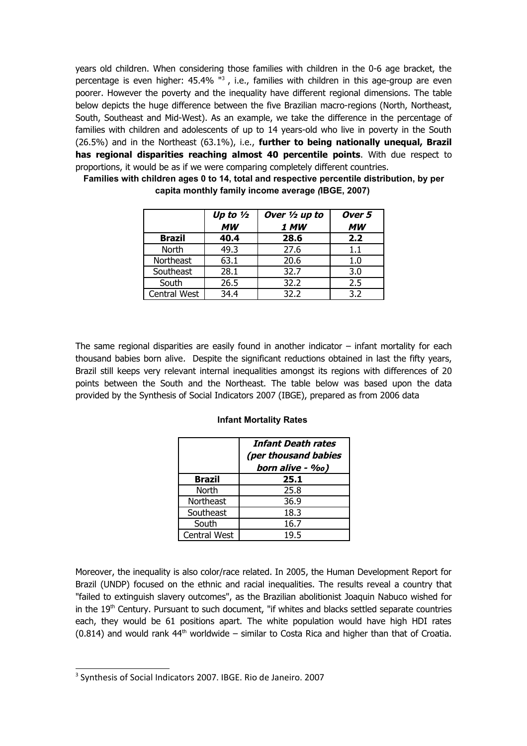years old children. When considering those families with children in the 0-6 age bracket, the percentage is even higher: 45.4% "<sup>[3](#page-2-0)</sup>, i.e., families with children in this age-group are even poorer. However the poverty and the inequality have different regional dimensions. The table below depicts the huge difference between the five Brazilian macro-regions (North, Northeast, South, Southeast and Mid-West). As an example, we take the difference in the percentage of families with children and adolescents of up to 14 years-old who live in poverty in the South (26.5%) and in the Northeast (63.1%), i.e., **further to being nationally unequal, Brazil has regional disparities reaching almost 40 percentile points**. With due respect to proportions, it would be as if we were comparing completely different countries.

|               | Up to $\frac{1}{2}$<br><b>MW</b> | Over $\frac{1}{2}$ up to<br>1 MW | Over 5<br><b>MW</b> |
|---------------|----------------------------------|----------------------------------|---------------------|
| <b>Brazil</b> | 40.4                             | 28.6                             | 2.2                 |
| <b>North</b>  | 49.3                             | 27.6                             | $1.1\,$             |
| Northeast     | 63.1                             | 20.6                             | 1.0                 |
| Southeast     | 28.1                             | 32.7                             | 3.0                 |
| South         | 26.5                             | 32.2                             | 2.5                 |
| Central West  | 34.4                             | 32.2                             | 3.2                 |

**Families with children ages 0 to 14, total and respective percentile distribution, by per capita monthly family income average** *(***IBGE, 2007)** 

The same regional disparities are easily found in another indicator – infant mortality for each thousand babies born alive. Despite the significant reductions obtained in last the fifty years, Brazil still keeps very relevant internal inequalities amongst its regions with differences of 20 points between the South and the Northeast. The table below was based upon the data provided by the Synthesis of Social Indicators 2007 (IBGE), prepared as from 2006 data

## **Infant Mortality Rates**

|               | <b>Infant Death rates</b><br>(per thousand babies<br>born alive - ‰) |
|---------------|----------------------------------------------------------------------|
| <b>Brazil</b> | 25.1                                                                 |
| North         | 25.8                                                                 |
| Northeast     | 36.9                                                                 |
| Southeast     | 18.3                                                                 |
| South         | 16.7                                                                 |
| Central West  | 19.5                                                                 |

Moreover, the inequality is also color/race related. In 2005, the Human Development Report for Brazil (UNDP) focused on the ethnic and racial inequalities. The results reveal a country that "failed to extinguish slavery outcomes", as the Brazilian abolitionist Joaquin Nabuco wished for in the  $19<sup>th</sup>$  Century. Pursuant to such document, "if whites and blacks settled separate countries each, they would be 61 positions apart. The white population would have high HDI rates  $(0.814)$  and would rank  $44<sup>th</sup>$  worldwide – similar to Costa Rica and higher than that of Croatia.

<span id="page-2-0"></span><sup>&</sup>lt;sup>3</sup> Synthesis of Social Indicators 2007. IBGE. Rio de Janeiro. 2007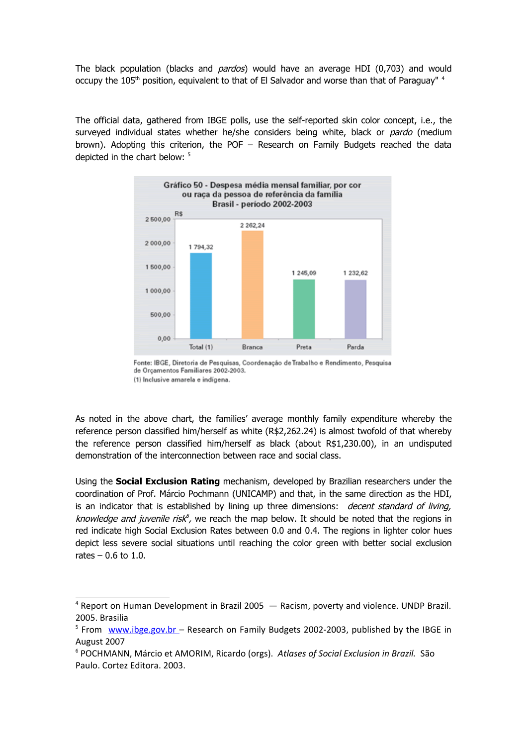The black population (blacks and *pardos*) would have an average HDI (0,703) and would occupy the 105<sup>th</sup> position, equivalent to that of El Salvador and worse than that of Paraguay" <sup>[4](#page-3-0)</sup>

The official data, gathered from IBGE polls, use the self-reported skin color concept, i.e., the surveyed individual states whether he/she considers being white, black or *pardo* (medium brown). Adopting this criterion, the POF – Research on Family Budgets reached the data depicted in the chart below: <sup>[5](#page-3-1)</sup>



Fonte: IBGE, Diretoria de Pesquisas, Coordenação de Trabalho e Rendimento, Pesquisa de Orçamentos Familiares 2002-2003. (1) Inclusive amarela e indígena.

As noted in the above chart, the families' average monthly family expenditure whereby the reference person classified him/herself as white (R\$2,262.24) is almost twofold of that whereby the reference person classified him/herself as black (about R\$1,230.00), in an undisputed demonstration of the interconnection between race and social class.

Using the **Social Exclusion Rating** mechanism, developed by Brazilian researchers under the coordination of Prof. Márcio Pochmann (UNICAMP) and that, in the same direction as the HDI, is an indicator that is established by lining up three dimensions: decent standard of living, *[k](#page-3-2)nowledge and juvenile risk<sup>6</sup>,* we reach the map below. It should be noted that the regions in red indicate high Social Exclusion Rates between 0.0 and 0.4. The regions in lighter color hues depict less severe social situations until reaching the color green with better social exclusion rates  $-0.6$  to 1.0.

<span id="page-3-0"></span><sup>&</sup>lt;sup>4</sup> Report on Human Development in Brazil 2005 – Racism, poverty and violence. UNDP Brazil. 2005. Brasilia

<span id="page-3-1"></span><sup>&</sup>lt;sup>5</sup> From www.ibge.gov.br - Research on Family Budgets 2002-2003, published by the IBGE in August 2007

<span id="page-3-2"></span><sup>6</sup> POCHMANN, Márcio et AMORIM, Ricardo (orgs). *Atlases of Social Exclusion in Brazil.* São Paulo. Cortez Editora. 2003.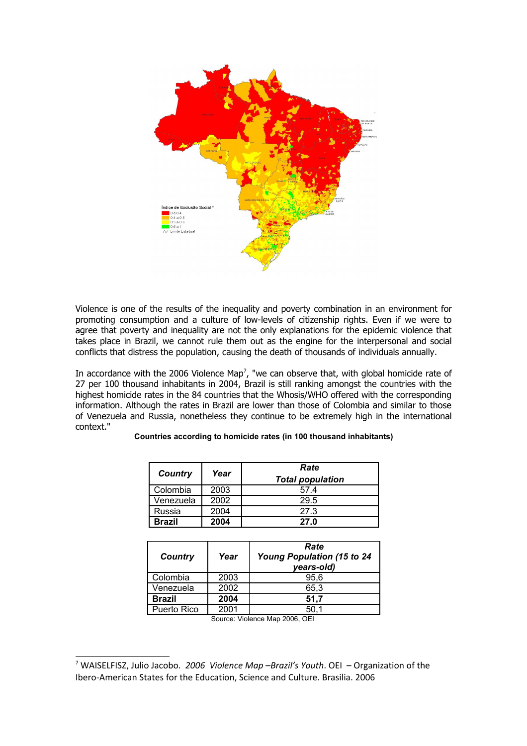

Violence is one of the results of the inequality and poverty combination in an environment for promoting consumption and a culture of low-levels of citizenship rights. Even if we were to agree that poverty and inequality are not the only explanations for the epidemic violence that takes place in Brazil, we cannot rule them out as the engine for the interpersonal and social conflicts that distress the population, causing the death of thousands of individuals annually.

In accordance with the 2006 Violence Map<sup>[7](#page-4-0)</sup>, "we can observe that, with global homicide rate of 27 per 100 thousand inhabitants in 2004, Brazil is still ranking amongst the countries with the highest homicide rates in the 84 countries that the Whosis/WHO offered with the corresponding information. Although the rates in Brazil are lower than those of Colombia and similar to those of Venezuela and Russia, nonetheless they continue to be extremely high in the international context."

| Country       | Year | Rate<br><b>Total population</b> |
|---------------|------|---------------------------------|
| Colombia      | 2003 | 57.4                            |
| Venezuela     | 2002 | 29.5                            |
| Russia        | 2004 | 27.3                            |
| <b>Brazil</b> | 2004 | 27.0                            |

#### **Countries according to homicide rates (in 100 thousand inhabitants)**

| Year | Rate<br>Young Population (15 to 24<br>years-old)                                                                                                                                                                                                                                                                         |
|------|--------------------------------------------------------------------------------------------------------------------------------------------------------------------------------------------------------------------------------------------------------------------------------------------------------------------------|
| 2003 | 95.6                                                                                                                                                                                                                                                                                                                     |
| 2002 | 65,3                                                                                                                                                                                                                                                                                                                     |
| 2004 | 51,7                                                                                                                                                                                                                                                                                                                     |
| 2001 | 50.1                                                                                                                                                                                                                                                                                                                     |
|      | $\sim$ $\frac{1}{2}$ $\frac{1}{2}$ $\frac{1}{2}$ $\frac{1}{2}$ $\frac{1}{2}$ $\frac{1}{2}$ $\frac{1}{2}$ $\frac{1}{2}$ $\frac{1}{2}$ $\frac{1}{2}$ $\frac{1}{2}$ $\frac{1}{2}$ $\frac{1}{2}$ $\frac{1}{2}$ $\frac{1}{2}$ $\frac{1}{2}$ $\frac{1}{2}$ $\frac{1}{2}$ $\frac{1}{2}$ $\frac{1}{2}$ $\frac{1}{2}$ $\frac{1}{$ |

Source: Violence Map 2006, OEI

<span id="page-4-0"></span><sup>7</sup> WAISELFISZ, Julio Jacobo. *2006 Violence Map –Brazil's Youth*. OEI – Organization of the Ibero-American States for the Education, Science and Culture. Brasilia. 2006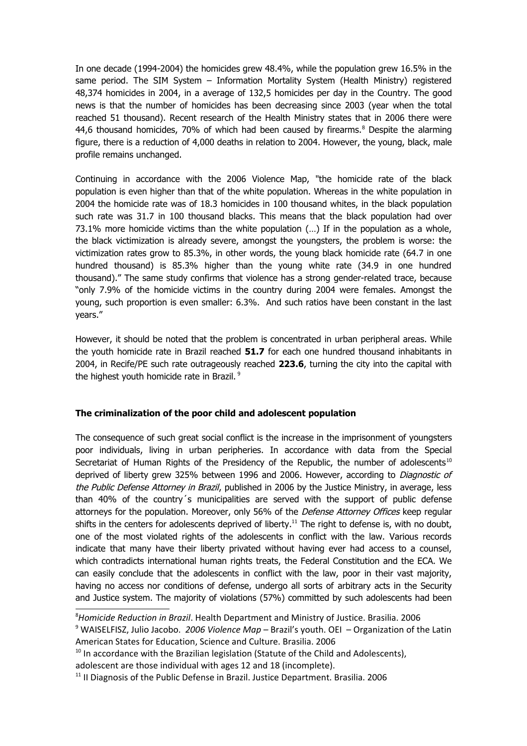In one decade (1994-2004) the homicides grew 48.4%, while the population grew 16.5% in the same period. The SIM System – Information Mortality System (Health Ministry) registered 48,374 homicides in 2004, in a average of 132,5 homicides per day in the Country. The good news is that the number of homicides has been decreasing since 2003 (year when the total reached 51 thousand). Recent research of the Health Ministry states that in 2006 there were 44,6 thousand homicides, 70% of which had been caused by firearms. $8$  Despite the alarming figure, there is a reduction of 4,000 deaths in relation to 2004. However, the young, black, male profile remains unchanged.

Continuing in accordance with the 2006 Violence Map, "the homicide rate of the black population is even higher than that of the white population. Whereas in the white population in 2004 the homicide rate was of 18.3 homicides in 100 thousand whites, in the black population such rate was 31.7 in 100 thousand blacks. This means that the black population had over 73.1% more homicide victims than the white population (…) If in the population as a whole, the black victimization is already severe, amongst the youngsters, the problem is worse: the victimization rates grow to 85.3%, in other words, the young black homicide rate (64.7 in one hundred thousand) is 85.3% higher than the young white rate (34.9 in one hundred thousand)." The same study confirms that violence has a strong gender-related trace, because "only 7.9% of the homicide victims in the country during 2004 were females. Amongst the young, such proportion is even smaller: 6.3%. And such ratios have been constant in the last years."

However, it should be noted that the problem is concentrated in urban peripheral areas. While the youth homicide rate in Brazil reached **51.7** for each one hundred thousand inhabitants in 2004, in Recife/PE such rate outrageously reached **223.6**, turning the city into the capital with the highest youth homicide rate in Brazil.<sup>[9](#page-5-1)</sup>

## **The criminalization of the poor child and adolescent population**

The consequence of such great social conflict is the increase in the imprisonment of youngsters poor individuals, living in urban peripheries. In accordance with data from the Special Secretariat of Human Rights of the Presidency of the Republic, the number of adolescents<sup>[10](#page-5-2)</sup> deprived of liberty grew 325% between 1996 and 2006. However, according to Diagnostic of the Public Defense Attorney in Brazil, published in 2006 by the Justice Ministry, in average, less than 40% of the country´s municipalities are served with the support of public defense attorneys for the population. Moreover, only 56% of the *Defense Attorney Offices* keep regular shifts in the centers for adolescents deprived of liberty.<sup>[11](#page-5-3)</sup> The right to defense is, with no doubt, one of the most violated rights of the adolescents in conflict with the law. Various records indicate that many have their liberty privated without having ever had access to a counsel, which contradicts international human rights treats, the Federal Constitution and the ECA. We can easily conclude that the adolescents in conflict with the law, poor in their vast majority, having no access nor conditions of defense, undergo all sorts of arbitrary acts in the Security and Justice system. The majority of violations (57%) committed by such adolescents had been

<span id="page-5-0"></span><sup>8</sup>*Homicide Reduction in Brazil*. Health Department and Ministry of Justice. Brasilia. 2006

<span id="page-5-1"></span><sup>&</sup>lt;sup>9</sup> WAISELFISZ, Julio Jacobo. 2006 Violence Map – Brazil's youth. OEI – Organization of the Latin American States for Education, Science and Culture. Brasilia. 2006

<span id="page-5-2"></span> $10$  In accordance with the Brazilian legislation (Statute of the Child and Adolescents),

adolescent are those individual with ages 12 and 18 (incomplete).

<span id="page-5-3"></span> $11$  II Diagnosis of the Public Defense in Brazil. Justice Department. Brasilia. 2006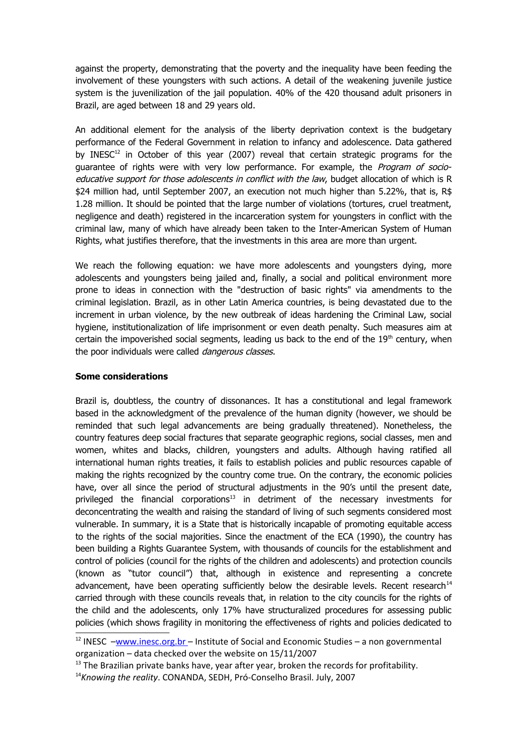against the property, demonstrating that the poverty and the inequality have been feeding the involvement of these youngsters with such actions. A detail of the weakening juvenile justice system is the juvenilization of the jail population. 40% of the 420 thousand adult prisoners in Brazil, are aged between 18 and 29 years old.

An additional element for the analysis of the liberty deprivation context is the budgetary performance of the Federal Government in relation to infancy and adolescence. Data gathered by INESC<sup>[12](#page-6-0)</sup> in October of this year (2007) reveal that certain strategic programs for the guarantee of rights were with very low performance. For example, the *Program of socio*educative support for those adolescents in conflict with the law, budget allocation of which is R \$24 million had, until September 2007, an execution not much higher than 5.22%, that is, R\$ 1.28 million. It should be pointed that the large number of violations (tortures, cruel treatment, negligence and death) registered in the incarceration system for youngsters in conflict with the criminal law, many of which have already been taken to the Inter-American System of Human Rights, what justifies therefore, that the investments in this area are more than urgent.

We reach the following equation: we have more adolescents and youngsters dying, more adolescents and youngsters being jailed and, finally, a social and political environment more prone to ideas in connection with the "destruction of basic rights" via amendments to the criminal legislation. Brazil, as in other Latin America countries, is being devastated due to the increment in urban violence, by the new outbreak of ideas hardening the Criminal Law, social hygiene, institutionalization of life imprisonment or even death penalty. Such measures aim at certain the impoverished social segments, leading us back to the end of the  $19<sup>th</sup>$  century, when the poor individuals were called *dangerous classes*.

## **Some considerations**

Brazil is, doubtless, the country of dissonances. It has a constitutional and legal framework based in the acknowledgment of the prevalence of the human dignity (however, we should be reminded that such legal advancements are being gradually threatened). Nonetheless, the country features deep social fractures that separate geographic regions, social classes, men and women, whites and blacks, children, youngsters and adults. Although having ratified all international human rights treaties, it fails to establish policies and public resources capable of making the rights recognized by the country come true. On the contrary, the economic policies have, over all since the period of structural adjustments in the 90's until the present date, privileged the financial corporations<sup>[13](#page-6-1)</sup> in detriment of the necessary investments for deconcentrating the wealth and raising the standard of living of such segments considered most vulnerable. In summary, it is a State that is historically incapable of promoting equitable access to the rights of the social majorities. Since the enactment of the ECA (1990), the country has been building a Rights Guarantee System, with thousands of councils for the establishment and control of policies (council for the rights of the children and adolescents) and protection councils (known as "tutor council") that, although in existence and representing a concrete advancement, have been operating sufficiently below the desirable levels. Recent research<sup>[14](#page-6-2)</sup> carried through with these councils reveals that, in relation to the city councils for the rights of the child and the adolescents, only 17% have structuralized procedures for assessing public policies (which shows fragility in monitoring the effectiveness of rights and policies dedicated to

<span id="page-6-0"></span> $12$  INESC  $-\underline{www.inesc.org.br}$  – Institute of Social and Economic Studies – a non governmental organization – data checked over the website on 15/11/2007

<span id="page-6-1"></span> $13$  The Brazilian private banks have, year after year, broken the records for profitability.

<span id="page-6-2"></span><sup>14</sup>*Knowing the reality*. CONANDA, SEDH, Pró-Conselho Brasil. July, 2007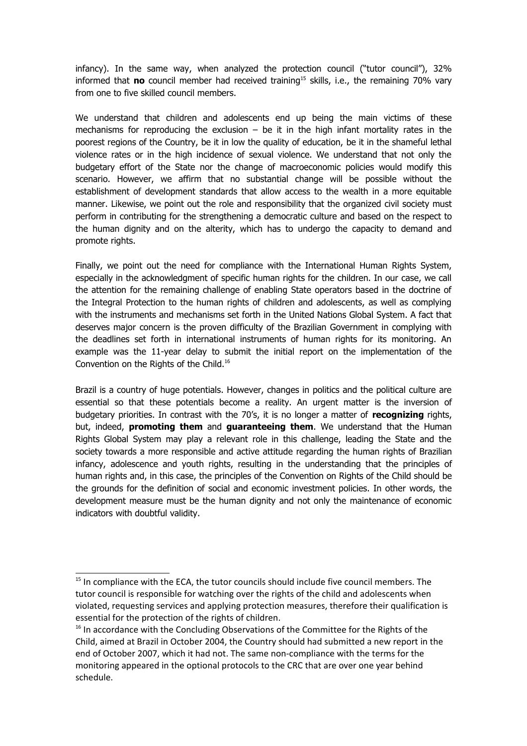infancy). In the same way, when analyzed the protection council ("tutor council"), 32% informed that **no** council member had received training<sup>[15](#page-7-0)</sup> skills, i.e., the remaining 70% vary from one to five skilled council members.

We understand that children and adolescents end up being the main victims of these mechanisms for reproducing the exclusion  $-$  be it in the high infant mortality rates in the poorest regions of the Country, be it in low the quality of education, be it in the shameful lethal violence rates or in the high incidence of sexual violence. We understand that not only the budgetary effort of the State nor the change of macroeconomic policies would modify this scenario. However, we affirm that no substantial change will be possible without the establishment of development standards that allow access to the wealth in a more equitable manner. Likewise, we point out the role and responsibility that the organized civil society must perform in contributing for the strengthening a democratic culture and based on the respect to the human dignity and on the alterity, which has to undergo the capacity to demand and promote rights.

Finally, we point out the need for compliance with the International Human Rights System, especially in the acknowledgment of specific human rights for the children. In our case, we call the attention for the remaining challenge of enabling State operators based in the doctrine of the Integral Protection to the human rights of children and adolescents, as well as complying with the instruments and mechanisms set forth in the United Nations Global System. A fact that deserves major concern is the proven difficulty of the Brazilian Government in complying with the deadlines set forth in international instruments of human rights for its monitoring. An example was the 11-year delay to submit the initial report on the implementation of the Convention on the Rights of the Child.<sup>[16](#page-7-1)</sup>

Brazil is a country of huge potentials. However, changes in politics and the political culture are essential so that these potentials become a reality. An urgent matter is the inversion of budgetary priorities. In contrast with the 70's, it is no longer a matter of **recognizing** rights, but, indeed, **promoting them** and **guaranteeing them**. We understand that the Human Rights Global System may play a relevant role in this challenge, leading the State and the society towards a more responsible and active attitude regarding the human rights of Brazilian infancy, adolescence and youth rights, resulting in the understanding that the principles of human rights and, in this case, the principles of the Convention on Rights of the Child should be the grounds for the definition of social and economic investment policies. In other words, the development measure must be the human dignity and not only the maintenance of economic indicators with doubtful validity.

<span id="page-7-0"></span> $15$  In compliance with the ECA, the tutor councils should include five council members. The tutor council is responsible for watching over the rights of the child and adolescents when violated, requesting services and applying protection measures, therefore their qualification is essential for the protection of the rights of children.

<span id="page-7-1"></span><sup>&</sup>lt;sup>16</sup> In accordance with the Concluding Observations of the Committee for the Rights of the Child, aimed at Brazil in October 2004, the Country should had submitted a new report in the end of October 2007, which it had not. The same non-compliance with the terms for the monitoring appeared in the optional protocols to the CRC that are over one year behind schedule.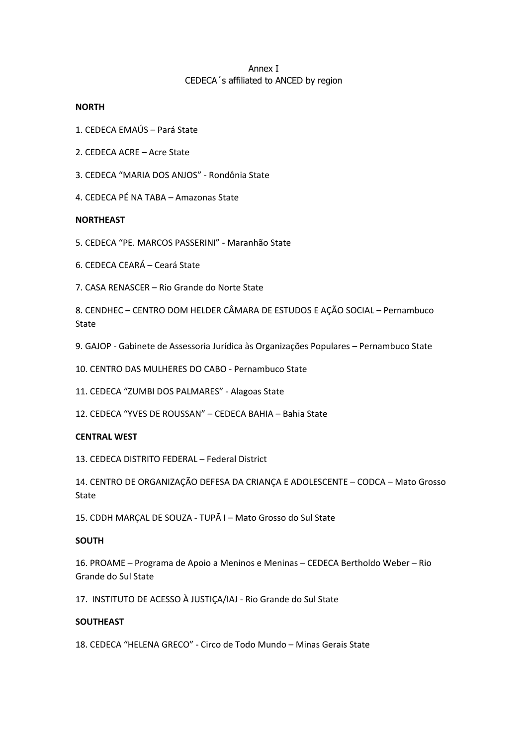## Annex I CEDECA´s affiliated to ANCED by region

### **NORTH**

- 1. CEDECA EMAÚS Pará State
- 2. CEDECA ACRE Acre State
- 3. CEDECA "MARIA DOS ANJOS" Rondônia State
- 4. CEDECA PÉ NA TABA Amazonas State

### **NORTHEAST**

- 5. CEDECA "PE. MARCOS PASSERINI" Maranhão State
- 6. CEDECA CEARÁ Ceará State
- 7. CASA RENASCER Rio Grande do Norte State

8. CENDHEC – CENTRO DOM HELDER CÂMARA DE ESTUDOS E AÇÃO SOCIAL – Pernambuco State

9. GAJOP - Gabinete de Assessoria Jurídica às Organizações Populares – Pernambuco State

10. CENTRO DAS MULHERES DO CABO - Pernambuco State

11. CEDECA "ZUMBI DOS PALMARES" - Alagoas State

12. CEDECA "YVES DE ROUSSAN" – CEDECA BAHIA – Bahia State

## **CENTRAL WEST**

13. CEDECA DISTRITO FEDERAL – Federal District

14. CENTRO DE ORGANIZAÇÃO DEFESA DA CRIANÇA E ADOLESCENTE – CODCA – Mato Grosso State

15. CDDH MARÇAL DE SOUZA - TUPÃ I – Mato Grosso do Sul State

#### **SOUTH**

16. PROAME – Programa de Apoio a Meninos e Meninas – CEDECA Bertholdo Weber – Rio Grande do Sul State

17. INSTITUTO DE ACESSO À JUSTIÇA/IAJ - Rio Grande do Sul State

#### **SOUTHEAST**

18. CEDECA "HELENA GRECO" - Circo de Todo Mundo – Minas Gerais State